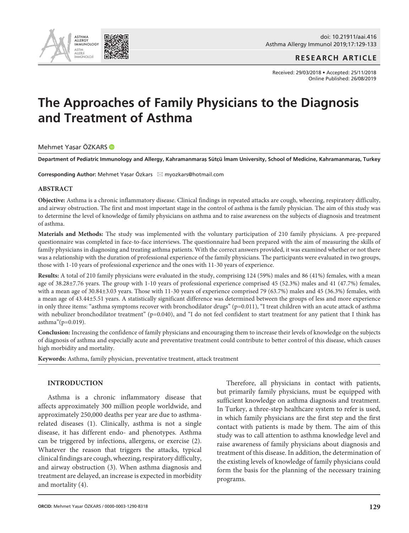

**RESEARCH ARTICLE**

Received: 29/03/2018 • Accepted: 25/11/2018 Online Published: 26/08/2019

# **The Approaches of Family Physicians to the Diagnosis and Treatment of Asthma**

Mehmet Yaşar ÖZKARS <sup>®</sup>

**Department of Pediatric Immunology and Allergy, Kahramanmaraş Sütçü İmam University, School of Medicine, Kahramanmaraş, Turkey** 

**Corresponding Author:** Mehmet Yasar Özkars ≥ myozkars@hotmail.com

## **ABSTRACT**

**Objective:** Asthma is a chronic inflammatory disease. Clinical findings in repeated attacks are cough, wheezing, respiratory difficulty, and airway obstruction. The first and most important stage in the control of asthma is the family physician. The aim of this study was to determine the level of knowledge of family physicians on asthma and to raise awareness on the subjects of diagnosis and treatment of asthma.

**Materials and Methods:** The study was implemented with the voluntary participation of 210 family physicians. A pre-prepared questionnaire was completed in face-to-face interviews. The questionnaire had been prepared with the aim of measuring the skills of family physicians in diagnosing and treating asthma patients. With the correct answers provided, it was examined whether or not there was a relationship with the duration of professional experience of the family physicians. The participants were evaluated in two groups, those with 1-10 years of professional experience and the ones with 11-30 years of experience.

**Results:** A total of 210 family physicians were evaluated in the study, comprising 124 (59%) males and 86 (41%) females, with a mean age of 38.28±7.76 years. The group with 1-10 years of professional experience comprised 45 (52.3%) males and 41 (47.7%) females, with a mean age of 30.84±3.03 years. Those with 11-30 years of experience comprised 79 (63.7%) males and 45 (36.3%) females, with a mean age of 43.44±5.51 years. A statistically significant difference was determined between the groups of less and more experience in only three items: "asthma symptoms recover with bronchodilator drugs" (p=0.011), "I treat children with an acute attack of asthma with nebulizer bronchodilator treatment" (p=0.040), and "I do not feel confident to start treatment for any patient that I think has asthma"(p=0.019).

**Conclusion:** Increasing the confidence of family physicians and encouraging them to increase their levels of knowledge on the subjects of diagnosis of asthma and especially acute and preventative treatment could contribute to better control of this disease, which causes high morbidity and mortality.

**Keywords:** Asthma, family physician, preventative treatment, attack treatment

## **INTRODUCTION**

Asthma is a chronic inflammatory disease that affects approximately 300 million people worldwide, and approximately 250,000 deaths per year are due to asthmarelated diseases (1). Clinically, asthma is not a single disease, it has different endo- and phenotypes. Asthma can be triggered by infections, allergens, or exercise (2). Whatever the reason that triggers the attacks, typical clinical findings are cough, wheezing, respiratory difficulty, and airway obstruction (3). When asthma diagnosis and treatment are delayed, an increase is expected in morbidity and mortality (4).

Therefore, all physicians in contact with patients, but primarily family physicians, must be equipped with sufficient knowledge on asthma diagnosis and treatment. In Turkey, a three-step healthcare system to refer is used, in which family physicians are the first step and the first contact with patients is made by them. The aim of this study was to call attention to asthma knowledge level and raise awareness of family physicians about diagnosis and treatment of this disease. In addition, the determination of the existing levels of knowledge of family physicians could form the basis for the planning of the necessary training programs.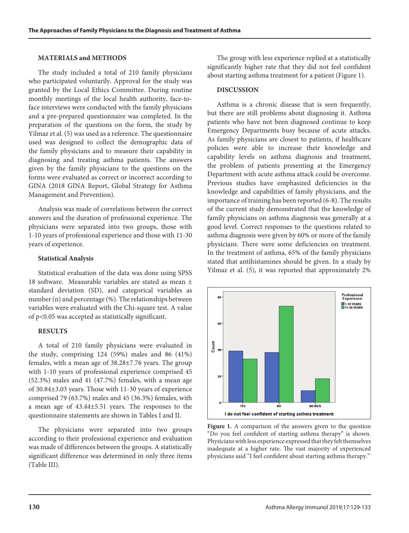#### **MATERIALS and METHODS**

The study included a total of 210 family physicians who participated voluntarily. Approval for the study was granted by the Local Ethics Committee. During routine monthly meetings of the local health authority, face-toface interviews were conducted with the family physicians and a pre-prepared questionnaire was completed. In the preparation of the questions on the form, the study by Yilmaz et al. (5) was used as a reference. The questionnaire used was designed to collect the demographic data of the family physicians and to measure their capability in diagnosing and treating asthma patients. The answers given by the family physicians to the questions on the forms were evaluated as correct or incorrect according to GINA (2018 GINA Report, Global Strategy for Asthma Management and Prevention).

Analysis was made of correlations between the correct answers and the duration of professional experience. The physicians were separated into two groups, those with 1-10 years of professional experience and those with 11-30 years of experience.

## **Statistical Analysis**

Statistical evaluation of the data was done using SPSS 18 software. Measurable variables are stated as mean ± standard deviation (SD), and categorical variables as number (n) and percentage (%). The relationships between variables were evaluated with the Chi-square test. A value of p<0.05 was accepted as statistically significant.

#### **RESULTS**

A total of 210 family physicians were evaluated in the study, comprising 124 (59%) males and 86 (41%) females, with a mean age of 38.28±7.76 years. The group with 1-10 years of professional experience comprised 45 (52.3%) males and 41 (47.7%) females, with a mean age of 30.84±3.03 years. Those with 11-30 years of experience comprised 79 (63.7%) males and 45 (36.3%) females, with a mean age of 43.44±5.51 years. The responses to the questionnaire statements are shown in Tables I and II.

The physicians were separated into two groups according to their professional experience and evaluation was made of differences between the groups. A statistically significant difference was determined in only three items (Table III).

The group with less experience replied at a statistically significantly higher rate that they did not feel confident about starting asthma treatment for a patient (Figure 1).

## **DISCUSSION**

Asthma is a chronic disease that is seen frequently, but there are still problems about diagnosing it. Asthma patients who have not been diagnosed continue to keep Emergency Departments busy because of acute attacks. As family physicians are closest to patients, if healthcare policies were able to increase their knowledge and capability levels on asthma diagnosis and treatment, the problem of patients presenting at the Emergency Department with acute asthma attack could be overcome. Previous studies have emphasized deficiencies in the knowledge and capabilities of family physicians, and the importance of training has been reported (6-8). The results of the current study demonstrated that the knowledge of family physicians on asthma diagnosis was generally at a good level. Correct responses to the questions related to asthma diagnosis were given by 60% or more of the family physicians. There were some deficiencies on treatment. In the treatment of asthma, 65% of the family physicians stated that antihistamines should be given. In a study by Yilmaz et al. (5), it was reported that approximately 2%



**Figure 1.** A comparison of the answers given to the question "Do you feel confident of starting asthma therapy" is shown. Physicians with less experience expressed that they felt themselves inadequate at a higher rate. The vast majority of experienced physicians said "I feel confident about starting asthma therapy."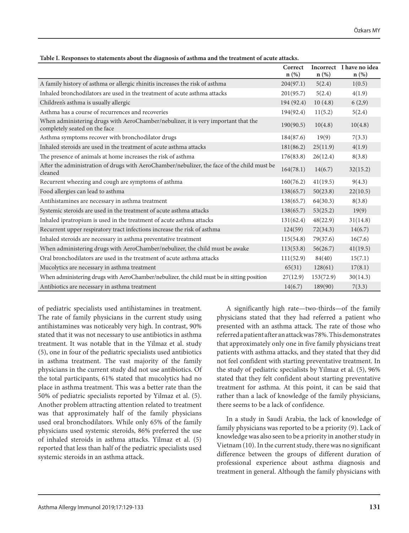|  | Table I. Responses to statements about the diagnosis of asthma and the treatment of acute attacks. |
|--|----------------------------------------------------------------------------------------------------|
|  |                                                                                                    |

|                                                                                                                     | Correct<br>$n$ (%) | $n$ (%)   | Incorrect I have no idea<br>$n$ (%) |
|---------------------------------------------------------------------------------------------------------------------|--------------------|-----------|-------------------------------------|
| A family history of asthma or allergic rhinitis increases the risk of asthma                                        | 204(97.1)          | 5(2.4)    | 1(0.5)                              |
| Inhaled bronchodilators are used in the treatment of acute asthma attacks                                           | 201(95.7)          | 5(2.4)    | 4(1.9)                              |
| Children's asthma is usually allergic                                                                               | 194 (92.4)         | 10(4.8)   | 6(2,9)                              |
| Asthma has a course of recurrences and recoveries                                                                   | 194(92.4)          | 11(5.2)   | 5(2.4)                              |
| When administering drugs with AeroChamber/nebulizer, it is very important that the<br>completely seated on the face | 190(90.5)          | 10(4.8)   | 10(4.8)                             |
| Asthma symptoms recover with bronchodilator drugs                                                                   | 184(87.6)          | 19(9)     | 7(3.3)                              |
| Inhaled steroids are used in the treatment of acute asthma attacks                                                  | 181(86.2)          | 25(11.9)  | 4(1.9)                              |
| The presence of animals at home increases the risk of asthma                                                        | 176(83.8)          | 26(12.4)  | 8(3.8)                              |
| After the administration of drugs with AeroChamber/nebulizer, the face of the child must be<br>cleaned              | 164(78.1)          | 14(6.7)   | 32(15.2)                            |
| Recurrent wheezing and cough are symptoms of asthma                                                                 | 160(76.2)          | 41(19.5)  | 9(4.3)                              |
| Food allergies can lead to asthma                                                                                   | 138(65.7)          | 50(23.8)  | 22(10.5)                            |
| Antihistamines are necessary in asthma treatment                                                                    | 138(65.7)          | 64(30.3)  | 8(3.8)                              |
| Systemic steroids are used in the treatment of acute asthma attacks                                                 | 138(65.7)          | 53(25.2)  | 19(9)                               |
| Inhaled ipratropium is used in the treatment of acute asthma attacks                                                | 131(62.4)          | 48(22.9)  | 31(14.8)                            |
| Recurrent upper respiratory tract infections increase the risk of asthma                                            | 124(59)            | 72(34.3)  | 14(6.7)                             |
| Inhaled steroids are necessary in asthma preventative treatment                                                     | 115(54.8)          | 79(37.6)  | 16(7.6)                             |
| When administering drugs with AeroChamber/nebulizer, the child must be awake                                        | 113(53.8)          | 56(26.7)  | 41(19.5)                            |
| Oral bronchodilators are used in the treatment of acute asthma attacks                                              | 111(52.9)          | 84(40)    | 15(7.1)                             |
| Mucolytics are necessary in asthma treatment                                                                        | 65(31)             | 128(61)   | 17(8.1)                             |
| When administering drugs with AeroChamber/nebulizer, the child must be in sitting position                          | 27(12.9)           | 153(72.9) | 30(14.3)                            |
| Antibiotics are necessary in asthma treatment                                                                       | 14(6.7)            | 189(90)   | 7(3.3)                              |

of pediatric specialists used antihistamines in treatment. The rate of family physicians in the current study using antihistamines was noticeably very high. In contrast, 90% stated that it was not necessary to use antibiotics in asthma treatment. It was notable that in the Yilmaz et al. study (5), one in four of the pediatric specialists used antibiotics in asthma treatment. The vast majority of the family physicians in the current study did not use antibiotics. Of the total participants, 61% stated that mucolytics had no place in asthma treatment. This was a better rate than the 50% of pediatric specialists reported by Yilmaz et al. (5). Another problem attracting attention related to treatment was that approximately half of the family physicians used oral bronchodilators. While only 65% of the family physicians used systemic steroids, 86% preferred the use of inhaled steroids in asthma attacks. Yilmaz et al. (5) reported that less than half of the pediatric specialists used systemic steroids in an asthma attack.

A significantly high rate—two-thirds—of the family physicians stated that they had referred a patient who presented with an asthma attack. The rate of those who referred a patient after an attack was 78%. This demonstrates that approximately only one in five family physicians treat patients with asthma attacks, and they stated that they did not feel confident with starting preventative treatment. In the study of pediatric specialists by Yilmaz et al. (5), 96% stated that they felt confident about starting preventative treatment for asthma. At this point, it can be said that rather than a lack of knowledge of the family physicians, there seems to be a lack of confidence.

In a study in Saudi Arabia, the lack of knowledge of family physicians was reported to be a priority (9). Lack of knowledge was also seen to be a priority in another study in Vietnam (10). In the current study, there was no significant difference between the groups of different duration of professional experience about asthma diagnosis and treatment in general. Although the family physicians with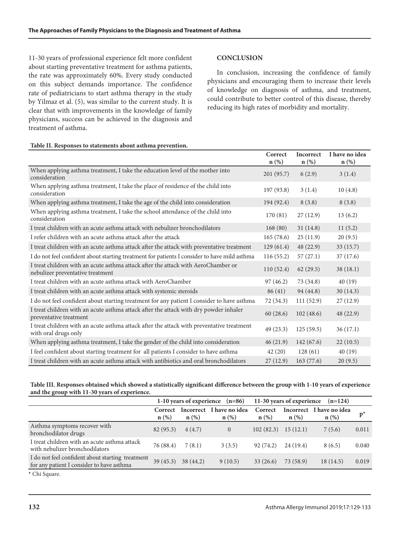11-30 years of professional experience felt more confident about starting preventative treatment for asthma patients, the rate was approximately 60%. Every study conducted on this subject demands importance. The confidence rate of pediatricians to start asthma therapy in the study by Yilmaz et al. (5), was similar to the current study. It is clear that with improvements in the knowledge of family physicians, success can be achieved in the diagnosis and treatment of asthma.

## **Table II. Responses to statements about asthma prevention.**

## **CONCLUSION**

In conclusion, increasing the confidence of family physicians and encouraging them to increase their levels of knowledge on diagnosis of asthma, and treatment, could contribute to better control of this disease, thereby reducing its high rates of morbidity and mortality.

|                                                                                                                       | Correct<br>$n(\%)$ | <b>Incorrect</b><br>$n$ (%) | I have no idea<br>$n$ (%) |
|-----------------------------------------------------------------------------------------------------------------------|--------------------|-----------------------------|---------------------------|
| When applying asthma treatment, I take the education level of the mother into<br>consideration                        | 201(95.7)          | 6(2.9)                      | 3(1.4)                    |
| When applying asthma treatment, I take the place of residence of the child into<br>consideration                      | 197(93.8)          | 3(1.4)                      | 10(4.8)                   |
| When applying asthma treatment, I take the age of the child into consideration                                        | 194 (92.4)         | 8(3.8)                      | 8(3.8)                    |
| When applying asthma treatment, I take the school attendance of the child into<br>consideration                       | 170(81)            | 27(12.9)                    | 13(6.2)                   |
| I treat children with an acute asthma attack with nebulizer bronchodilators                                           | 168(80)            | 31(14.8)                    | 11(5.2)                   |
| I refer children with an acute asthma attack after the attack                                                         | 165(78.6)          | 25(11.9)                    | 20(9.5)                   |
| I treat children with an acute asthma attack after the attack with preventative treatment                             | 129(61.4)          | 48 (22.9)                   | 33(15.7)                  |
| I do not feel confident about starting treatment for patients I consider to have mild asthma                          | 116(55.2)          | 57(27.1)                    | 37 (17.6)                 |
| I treat children with an acute asthma attack after the attack with AeroChamber or<br>nebulizer preventative treatment | 110(52.4)          | 62(29.5)                    | 38(18.1)                  |
| I treat children with an acute asthma attack with AeroChamber                                                         | 97(46.2)           | 73 (34.8)                   | 40(19)                    |
| I treat children with an acute asthma attack with systemic steroids                                                   | 86(41)             | 94 (44.8)                   | 30(14.3)                  |
| I do not feel confident about starting treatment for any patient I consider to have asthma                            | 72(34.3)           | 111 (52.9)                  | 27(12.9)                  |
| I treat children with an acute asthma attack after the attack with dry powder inhaler<br>preventative treatment       | 60(28.6)           | 102(48.6)                   | 48 (22.9)                 |
| I treat children with an acute asthma attack after the attack with preventative treatment<br>with oral drugs only     | 49 (23.3)          | 125(59.5)                   | 36(17.1)                  |
| When applying asthma treatment, I take the gender of the child into consideration                                     | 46(21.9)           | 142(67.6)                   | 22(10.5)                  |
| I feel confident about starting treatment for all patients I consider to have asthma                                  | 42(20)             | 128(61)                     | 40(19)                    |
| I treat children with an acute asthma attack with antibiotics and oral bronchodilators                                | 27(12.9)           | 163(77.6)                   | 20(9.5)                   |

| Table III. Responses obtained which showed a statistically significant difference between the group with 1-10 years of experience |  |
|-----------------------------------------------------------------------------------------------------------------------------------|--|
| and the group with 11-30 years of experience.                                                                                     |  |

|                                                                                               | 1-10 years of experience<br>$(n=86)$ |           | 11-30 years of experience<br>$(n=124)$ |                    |          |                                     |                |
|-----------------------------------------------------------------------------------------------|--------------------------------------|-----------|----------------------------------------|--------------------|----------|-------------------------------------|----------------|
|                                                                                               | <b>Correct</b><br>$n$ (%)            | $n$ (%)   | Incorrect I have no idea<br>$n$ (%)    | Correct<br>$n$ (%) | $n$ (%)  | Incorrect I have no idea<br>$n$ (%) | $\mathbf{p}^*$ |
| Asthma symptoms recover with<br>bronchodilator drugs                                          | 82 (95.3)                            | 4(4.7)    | $\overline{0}$                         | 102(82.3)          | 15(12.1) | 7(5.6)                              | 0.011          |
| I treat children with an acute asthma attack<br>with nebulizer bronchodilators                | 76 (88.4)                            | 7(8.1)    | 3(3.5)                                 | 92(74.2)           | 24(19.4) | 8(6.5)                              | 0.040          |
| I do not feel confident about starting treatment<br>for any patient I consider to have asthma | 39(45.3)                             | 38 (44.2) | 9(10.5)                                | 33(26.6)           | 73(58.9) | 18(14.5)                            | 0.019          |

**\*** Chi Square.